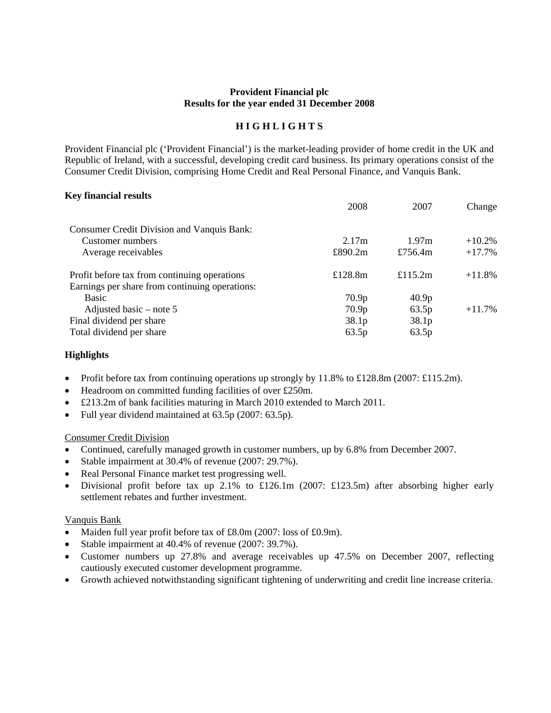### **Provident Financial plc Results for the year ended 31 December 2008**

## **H I G H L I G H T S**

Provident Financial plc ('Provident Financial') is the market-leading provider of home credit in the UK and Republic of Ireland, with a successful, developing credit card business. Its primary operations consist of the Consumer Credit Division, comprising Home Credit and Real Personal Finance, and Vanquis Bank.

### **Key financial results**

|                                                   | 2008              | 2007              | Change    |
|---------------------------------------------------|-------------------|-------------------|-----------|
| <b>Consumer Credit Division and Vanquis Bank:</b> |                   |                   |           |
| Customer numbers                                  | 2.17m             | 1.97m             | $+10.2%$  |
| Average receivables                               | £890.2m           | £756.4 $m$        | $+17.7\%$ |
| Profit before tax from continuing operations      | £128.8 $m$        | £115.2m           | $+11.8\%$ |
| Earnings per share from continuing operations:    |                   |                   |           |
| <b>Basic</b>                                      | 70.9 <sub>p</sub> | 40.9 <sub>p</sub> |           |
| Adjusted basic – note 5                           | 70.9 <sub>p</sub> | 63.5p             | $+11.7%$  |
| Final dividend per share                          | 38.1 <sub>p</sub> | 38.1 <sub>p</sub> |           |
| Total dividend per share                          | 63.5p             | 63.5p             |           |
|                                                   |                   |                   |           |

### **Highlights**

- Profit before tax from continuing operations up strongly by 11.8% to £128.8m (2007: £115.2m).
- Headroom on committed funding facilities of over £250m.
- £213.2m of bank facilities maturing in March 2010 extended to March 2011.
- Full year dividend maintained at 63.5p (2007: 63.5p).

#### Consumer Credit Division

- Continued, carefully managed growth in customer numbers, up by 6.8% from December 2007.
- Stable impairment at 30.4% of revenue (2007: 29.7%).
- Real Personal Finance market test progressing well.
- Divisional profit before tax up 2.1% to £126.1m (2007: £123.5m) after absorbing higher early settlement rebates and further investment.

### Vanquis Bank

- Maiden full year profit before tax of £8.0m (2007: loss of £0.9m).
- Stable impairment at 40.4% of revenue (2007: 39.7%).
- Customer numbers up 27.8% and average receivables up 47.5% on December 2007, reflecting cautiously executed customer development programme.
- • Growth achieved notwithstanding significant tightening of underwriting and credit line increase criteria.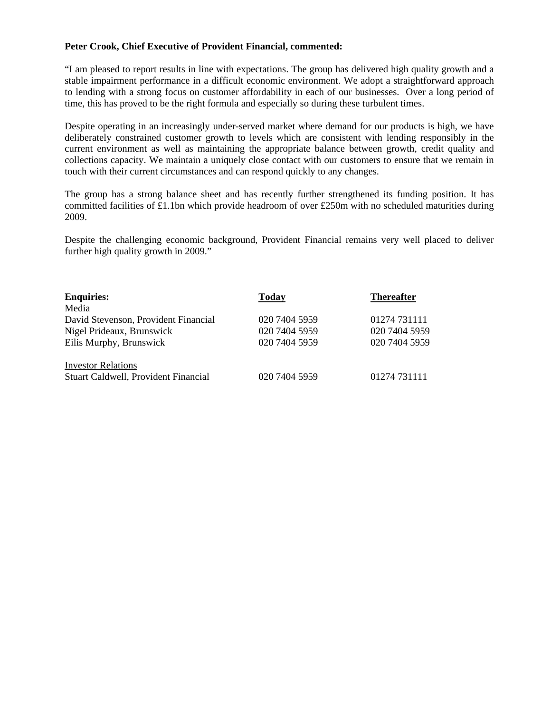### **Peter Crook, Chief Executive of Provident Financial, commented:**

"I am pleased to report results in line with expectations. The group has delivered high quality growth and a stable impairment performance in a difficult economic environment. We adopt a straightforward approach to lending with a strong focus on customer affordability in each of our businesses. Over a long period of time, this has proved to be the right formula and especially so during these turbulent times.

Despite operating in an increasingly under-served market where demand for our products is high, we have deliberately constrained customer growth to levels which are consistent with lending responsibly in the current environment as well as maintaining the appropriate balance between growth, credit quality and collections capacity. We maintain a uniquely close contact with our customers to ensure that we remain in touch with their current circumstances and can respond quickly to any changes.

The group has a strong balance sheet and has recently further strengthened its funding position. It has committed facilities of £1.1bn which provide headroom of over £250m with no scheduled maturities during 2009.

Despite the challenging economic background, Provident Financial remains very well placed to deliver further high quality growth in 2009."

| <b>Enquiries:</b>                    | Today         | <b>Thereafter</b> |
|--------------------------------------|---------------|-------------------|
| Media                                |               |                   |
| David Stevenson, Provident Financial | 020 7404 5959 | 01274 731111      |
| Nigel Prideaux, Brunswick            | 020 7404 5959 | 020 7404 5959     |
| Eilis Murphy, Brunswick              | 020 7404 5959 | 020 7404 5959     |
| <b>Investor Relations</b>            |               |                   |
| Stuart Caldwell, Provident Financial | 020 7404 5959 | 01274 731111      |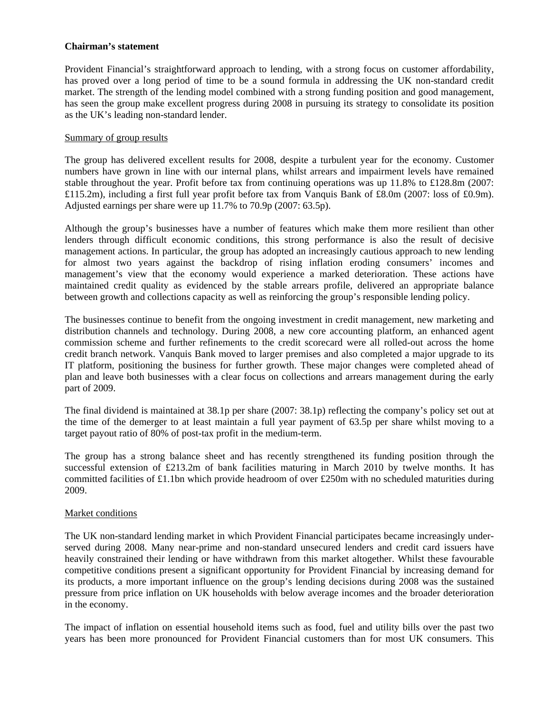### **Chairman's statement**

Provident Financial's straightforward approach to lending, with a strong focus on customer affordability, has proved over a long period of time to be a sound formula in addressing the UK non-standard credit market. The strength of the lending model combined with a strong funding position and good management, has seen the group make excellent progress during 2008 in pursuing its strategy to consolidate its position as the UK's leading non-standard lender.

#### Summary of group results

The group has delivered excellent results for 2008, despite a turbulent year for the economy. Customer numbers have grown in line with our internal plans, whilst arrears and impairment levels have remained stable throughout the year. Profit before tax from continuing operations was up 11.8% to £128.8m (2007: £115.2m), including a first full year profit before tax from Vanquis Bank of £8.0m (2007: loss of £0.9m). Adjusted earnings per share were up 11.7% to 70.9p (2007: 63.5p).

between growth and collections capacity as well as reinforcing the group's responsible lending policy. Although the group's businesses have a number of features which make them more resilient than other lenders through difficult economic conditions, this strong performance is also the result of decisive management actions. In particular, the group has adopted an increasingly cautious approach to new lending for almost two years against the backdrop of rising inflation eroding consumers' incomes and management's view that the economy would experience a marked deterioration. These actions have maintained credit quality as evidenced by the stable arrears profile, delivered an appropriate balance

The businesses continue to benefit from the ongoing investment in credit management, new marketing and distribution channels and technology. During 2008, a new core accounting platform, an enhanced agent commission scheme and further refinements to the credit scorecard were all rolled-out across the home credit branch network. Vanquis Bank moved to larger premises and also completed a major upgrade to its IT platform, positioning the business for further growth. These major changes were completed ahead of plan and leave both businesses with a clear focus on collections and arrears management during the early part of 2009.

The final dividend is maintained at 38.1p per share (2007: 38.1p) reflecting the company's policy set out at the time of the demerger to at least maintain a full year payment of 63.5p per share whilst moving to a target payout ratio of 80% of post-tax profit in the medium-term.

The group has a strong balance sheet and has recently strengthened its funding position through the successful extension of £213.2m of bank facilities maturing in March 2010 by twelve months. It has committed facilities of £1.1bn which provide headroom of over £250m with no scheduled maturities during 2009.

#### Market conditions

The UK non-standard lending market in which Provident Financial participates became increasingly underserved during 2008. Many near-prime and non-standard unsecured lenders and credit card issuers have heavily constrained their lending or have withdrawn from this market altogether. Whilst these favourable competitive conditions present a significant opportunity for Provident Financial by increasing demand for its products, a more important influence on the group's lending decisions during 2008 was the sustained pressure from price inflation on UK households with below average incomes and the broader deterioration in the economy.

The impact of inflation on essential household items such as food, fuel and utility bills over the past two years has been more pronounced for Provident Financial customers than for most UK consumers. This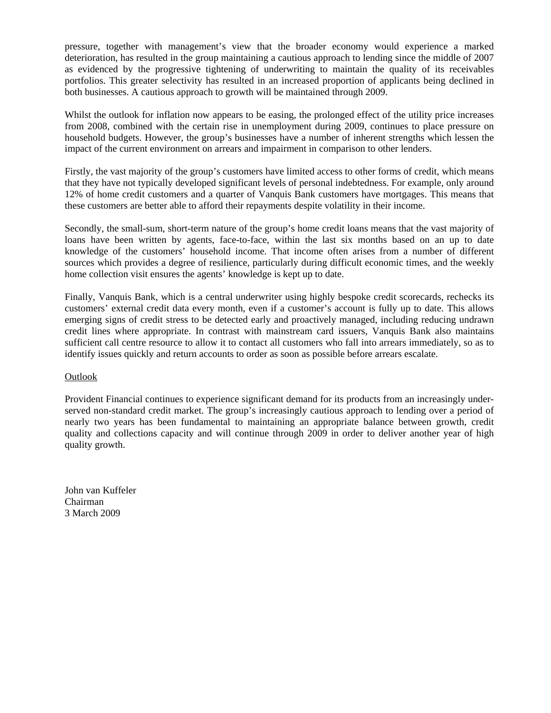pressure, together with management's view that the broader economy would experience a marked deterioration, has resulted in the group maintaining a cautious approach to lending since the middle of 2007 as evidenced by the progressive tightening of underwriting to maintain the quality of its receivables portfolios. This greater selectivity has resulted in an increased proportion of applicants being declined in both businesses. A cautious approach to growth will be maintained through 2009.

Whilst the outlook for inflation now appears to be easing, the prolonged effect of the utility price increases from 2008, combined with the certain rise in unemployment during 2009, continues to place pressure on household budgets. However, the group's businesses have a number of inherent strengths which lessen the impact of the current environment on arrears and impairment in comparison to other lenders.

Firstly, the vast majority of the group's customers have limited access to other forms of credit, which means that they have not typically developed significant levels of personal indebtedness. For example, only around 12% of home credit customers and a quarter of Vanquis Bank customers have mortgages. This means that these customers are better able to afford their repayments despite volatility in their income.

Secondly, the small-sum, short-term nature of the group's home credit loans means that the vast majority of loans have been written by agents, face-to-face, within the last six months based on an up to date knowledge of the customers' household income. That income often arises from a number of different sources which provides a degree of resilience, particularly during difficult economic times, and the weekly home collection visit ensures the agents' knowledge is kept up to date.

 customers' external credit data every month, even if a customer's account is fully up to date. This allows Finally, Vanquis Bank, which is a central underwriter using highly bespoke credit scorecards, rechecks its emerging signs of credit stress to be detected early and proactively managed, including reducing undrawn credit lines where appropriate. In contrast with mainstream card issuers, Vanquis Bank also maintains sufficient call centre resource to allow it to contact all customers who fall into arrears immediately, so as to identify issues quickly and return accounts to order as soon as possible before arrears escalate.

### Outlook

Provident Financial continues to experience significant demand for its products from an increasingly underserved non-standard credit market. The group's increasingly cautious approach to lending over a period of nearly two years has been fundamental to maintaining an appropriate balance between growth, credit quality and collections capacity and will continue through 2009 in order to deliver another year of high quality growth.

John van Kuffeler Chairman 3 March 2009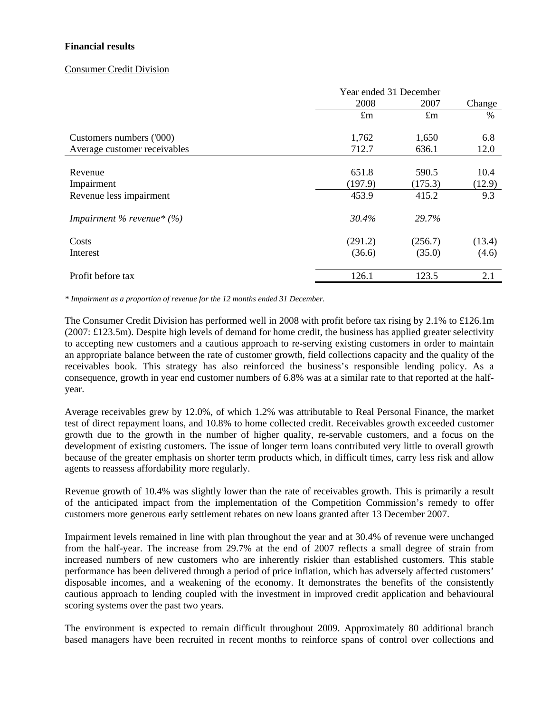### **Financial results**

### Consumer Credit Division

|                              | Year ended 31 December |             |        |
|------------------------------|------------------------|-------------|--------|
|                              | 2008                   | 2007        | Change |
|                              | $\pounds$ m            | $\pounds$ m | $\%$   |
| Customers numbers ('000)     | 1,762                  | 1,650       | 6.8    |
| Average customer receivables | 712.7                  | 636.1       | 12.0   |
|                              |                        |             |        |
| Revenue                      | 651.8                  | 590.5       | 10.4   |
| Impairment                   | (197.9)                | (175.3)     | (12.9) |
| Revenue less impairment      | 453.9                  | 415.2       | 9.3    |
| Impairment % revenue* $(\%)$ | 30.4%                  | 29.7%       |        |
| Costs                        | (291.2)                | (256.7)     | (13.4) |
| Interest                     | (36.6)                 | (35.0)      | (4.6)  |
| Profit before tax            | 126.1                  | 123.5       | 2.1    |

*\* Impairment as a proportion of revenue for the 12 months ended 31 December.* 

The Consumer Credit Division has performed well in 2008 with profit before tax rising by 2.1% to £126.1m (2007: £123.5m). Despite high levels of demand for home credit, the business has applied greater selectivity to accepting new customers and a cautious approach to re-serving existing customers in order to maintain an appropriate balance between the rate of customer growth, field collections capacity and the quality of the receivables book. This strategy has also reinforced the business's responsible lending policy. As a consequence, growth in year end customer numbers of 6.8% was at a similar rate to that reported at the halfyear.

Average receivables grew by 12.0%, of which 1.2% was attributable to Real Personal Finance, the market test of direct repayment loans, and 10.8% to home collected credit. Receivables growth exceeded customer growth due to the growth in the number of higher quality, re-servable customers, and a focus on the development of existing customers. The issue of longer term loans contributed very little to overall growth because of the greater emphasis on shorter term products which, in difficult times, carry less risk and allow agents to reassess affordability more regularly.

Revenue growth of 10.4% was slightly lower than the rate of receivables growth. This is primarily a result of the anticipated impact from the implementation of the Competition Commission's remedy to offer customers more generous early settlement rebates on new loans granted after 13 December 2007.

Impairment levels remained in line with plan throughout the year and at 30.4% of revenue were unchanged from the half-year. The increase from 29.7% at the end of 2007 reflects a small degree of strain from increased numbers of new customers who are inherently riskier than established customers. This stable performance has been delivered through a period of price inflation, which has adversely affected customers' disposable incomes, and a weakening of the economy. It demonstrates the benefits of the consistently cautious approach to lending coupled with the investment in improved credit application and behavioural scoring systems over the past two years.

The environment is expected to remain difficult throughout 2009. Approximately 80 additional branch based managers have been recruited in recent months to reinforce spans of control over collections and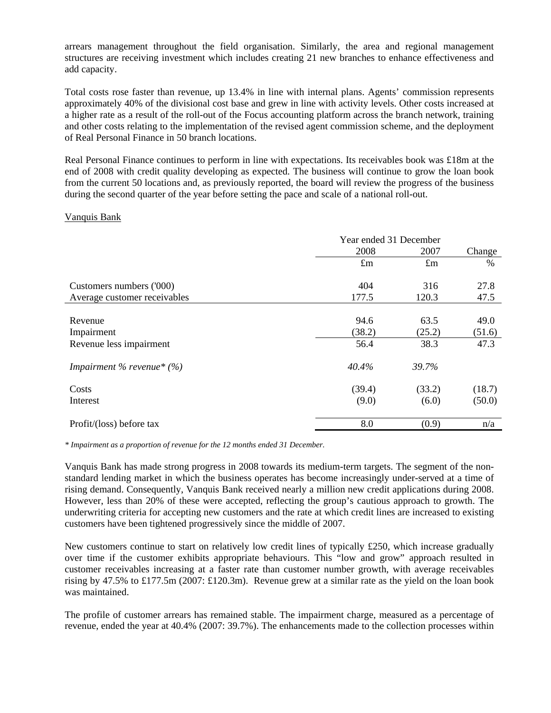arrears management throughout the field organisation. Similarly, the area and regional management structures are receiving investment which includes creating 21 new branches to enhance effectiveness and add capacity.

Total costs rose faster than revenue, up 13.4% in line with internal plans. Agents' commission represents approximately 40% of the divisional cost base and grew in line with activity levels. Other costs increased at a higher rate as a result of the roll-out of the Focus accounting platform across the branch network, training and other costs relating to the implementation of the revised agent commission scheme, and the deployment of Real Personal Finance in 50 branch locations.

Real Personal Finance continues to perform in line with expectations. Its receivables book was £18m at the end of 2008 with credit quality developing as expected. The business will continue to grow the loan book from the current 50 locations and, as previously reported, the board will review the progress of the business during the second quarter of the year before setting the pace and scale of a national roll-out.

### Vanquis Bank

|                              | Year ended 31 December |             |        |
|------------------------------|------------------------|-------------|--------|
|                              | 2008                   | 2007        | Change |
|                              | $\pounds$ m            | $\pounds$ m | $\%$   |
| Customers numbers ('000)     | 404                    | 316         | 27.8   |
| Average customer receivables | 177.5                  | 120.3       | 47.5   |
|                              |                        |             |        |
| Revenue                      | 94.6                   | 63.5        | 49.0   |
| Impairment                   | (38.2)                 | (25.2)      | (51.6) |
| Revenue less impairment      | 56.4                   | 38.3        | 47.3   |
| Impairment % revenue* $(\%)$ | 40.4%                  | 39.7%       |        |
| Costs                        | (39.4)                 | (33.2)      | (18.7) |
| Interest                     | (9.0)                  | (6.0)       | (50.0) |
| Profit/(loss) before tax     | 8.0                    | (0.9)       | n/a    |

*\* Impairment as a proportion of revenue for the 12 months ended 31 December.* 

Vanquis Bank has made strong progress in 2008 towards its medium-term targets. The segment of the nonstandard lending market in which the business operates has become increasingly under-served at a time of rising demand. Consequently, Vanquis Bank received nearly a million new credit applications during 2008. However, less than 20% of these were accepted, reflecting the group's cautious approach to growth. The underwriting criteria for accepting new customers and the rate at which credit lines are increased to existing customers have been tightened progressively since the middle of 2007.

New customers continue to start on relatively low credit lines of typically £250, which increase gradually over time if the customer exhibits appropriate behaviours. This "low and grow" approach resulted in customer receivables increasing at a faster rate than customer number growth, with average receivables rising by 47.5% to £177.5m (2007: £120.3m). Revenue grew at a similar rate as the yield on the loan book was maintained.

The profile of customer arrears has remained stable. The impairment charge, measured as a percentage of revenue, ended the year at 40.4% (2007: 39.7%). The enhancements made to the collection processes within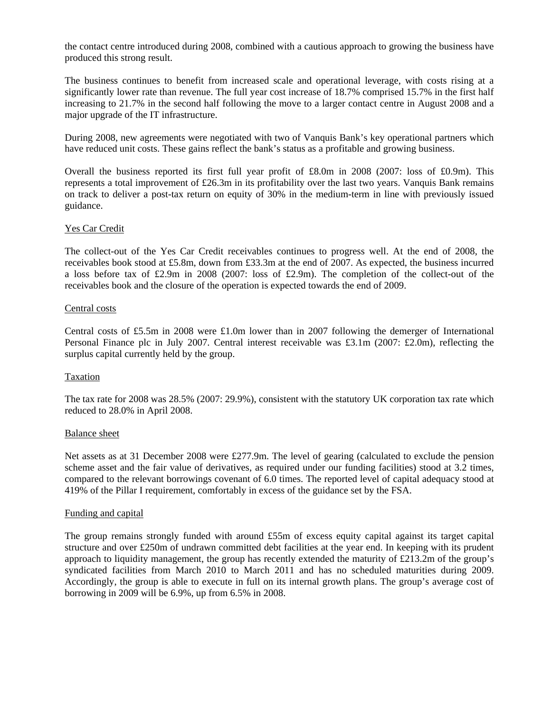produced this strong result. the contact centre introduced during 2008, combined with a cautious approach to growing the business have

The business continues to benefit from increased scale and operational leverage, with costs rising at a significantly lower rate than revenue. The full year cost increase of 18.7% comprised 15.7% in the first half increasing to 21.7% in the second half following the move to a larger contact centre in August 2008 and a major upgrade of the IT infrastructure.

During 2008, new agreements were negotiated with two of Vanquis Bank's key operational partners which have reduced unit costs. These gains reflect the bank's status as a profitable and growing business.

Overall the business reported its first full year profit of £8.0m in 2008 (2007: loss of £0.9m). This represents a total improvement of £26.3m in its profitability over the last two years. Vanquis Bank remains on track to deliver a post-tax return on equity of 30% in the medium-term in line with previously issued guidance.

### Yes Car Credit

The collect-out of the Yes Car Credit receivables continues to progress well. At the end of 2008, the receivables book stood at £5.8m, down from £33.3m at the end of 2007. As expected, the business incurred a loss before tax of £2.9m in 2008 (2007: loss of £2.9m). The completion of the collect-out of the receivables book and the closure of the operation is expected towards the end of 2009.

#### Central costs

Central costs of £5.5m in 2008 were £1.0m lower than in 2007 following the demerger of International Personal Finance plc in July 2007. Central interest receivable was £3.1m (2007: £2.0m), reflecting the surplus capital currently held by the group.

#### Taxation

The tax rate for 2008 was 28.5% (2007: 29.9%), consistent with the statutory UK corporation tax rate which reduced to 28.0% in April 2008.

#### Balance sheet

Net assets as at 31 December 2008 were £277.9m. The level of gearing (calculated to exclude the pension scheme asset and the fair value of derivatives, as required under our funding facilities) stood at 3.2 times, compared to the relevant borrowings covenant of 6.0 times. The reported level of capital adequacy stood at 419% of the Pillar I requirement, comfortably in excess of the guidance set by the FSA.

#### Funding and capital

The group remains strongly funded with around £55m of excess equity capital against its target capital structure and over £250m of undrawn committed debt facilities at the year end. In keeping with its prudent approach to liquidity management, the group has recently extended the maturity of £213.2m of the group's syndicated facilities from March 2010 to March 2011 and has no scheduled maturities during 2009. Accordingly, the group is able to execute in full on its internal growth plans. The group's average cost of borrowing in 2009 will be 6.9%, up from 6.5% in 2008.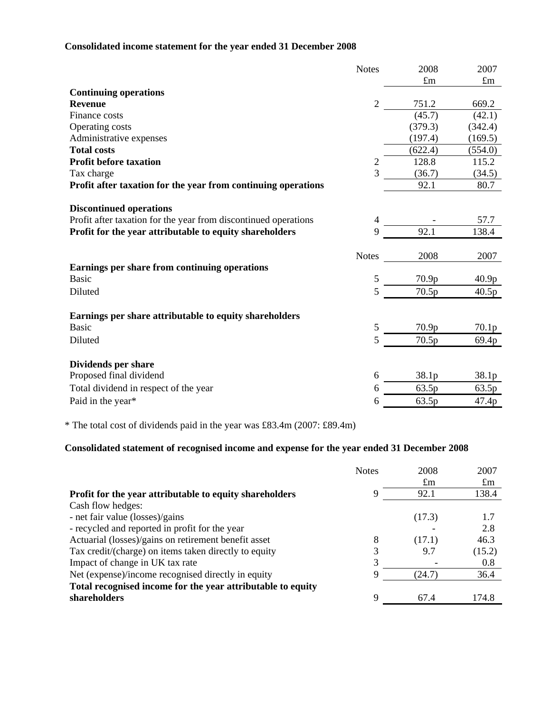# **Consolidated income statement for the year ended 31 December 2008**

|                                                                                                   | <b>Notes</b>   | 2008        | 2007              |
|---------------------------------------------------------------------------------------------------|----------------|-------------|-------------------|
|                                                                                                   |                | $\pounds$ m | $\pounds$ m       |
| <b>Continuing operations</b>                                                                      |                |             |                   |
| <b>Revenue</b>                                                                                    | 2              | 751.2       | 669.2             |
| Finance costs                                                                                     |                | (45.7)      | (42.1)            |
| Operating costs                                                                                   |                | (379.3)     | (342.4)           |
| Administrative expenses                                                                           |                | (197.4)     | (169.5)           |
| <b>Total costs</b>                                                                                |                | (622.4)     | (554.0)           |
| <b>Profit before taxation</b>                                                                     | 2              | 128.8       | 115.2             |
| Tax charge                                                                                        | $\overline{3}$ | (36.7)      | (34.5)            |
| Profit after taxation for the year from continuing operations                                     |                | 92.1        | 80.7              |
|                                                                                                   |                |             |                   |
| <b>Discontinued operations</b><br>Profit after taxation for the year from discontinued operations | 4              |             | 57.7              |
|                                                                                                   | 9              | 92.1        | 138.4             |
| Profit for the year attributable to equity shareholders                                           |                |             |                   |
|                                                                                                   | <b>Notes</b>   | 2008        | 2007              |
| Earnings per share from continuing operations                                                     |                |             |                   |
| <b>Basic</b>                                                                                      | 5              | 70.9p       | 40.9 <sub>p</sub> |
| Diluted                                                                                           | 5              | 70.5p       | 40.5p             |
| Earnings per share attributable to equity shareholders                                            |                |             |                   |
| <b>Basic</b>                                                                                      | 5              | 70.9p       | 70.1 <sub>p</sub> |
| Diluted                                                                                           | 5              | 70.5p       |                   |
|                                                                                                   |                |             | 69.4p             |
| Dividends per share                                                                               |                |             |                   |
| Proposed final dividend                                                                           | 6              | 38.1p       | 38.1 <sub>p</sub> |
| Total dividend in respect of the year                                                             | 6              | 63.5p       | 63.5p             |
| Paid in the year*                                                                                 | 6              | 63.5p       | 47.4p             |
|                                                                                                   |                |             |                   |

\* The total cost of dividends paid in the year was £83.4m (2007: £89.4m)

# **Consolidated statement of recognised income and expense for the year ended 31 December 2008**

|                                                             | <b>Notes</b> | 2008        | 2007        |
|-------------------------------------------------------------|--------------|-------------|-------------|
|                                                             |              | $\pounds$ m | $\pounds$ m |
| Profit for the year attributable to equity shareholders     | Q            | 92.1        | 138.4       |
| Cash flow hedges:                                           |              |             |             |
| - net fair value (losses)/gains                             |              | (17.3)      | 1.7         |
| - recycled and reported in profit for the year              |              |             | 2.8         |
| Actuarial (losses)/gains on retirement benefit asset        | 8            | (17.1)      | 46.3        |
| Tax credit/(charge) on items taken directly to equity       |              | 9.7         | (15.2)      |
| Impact of change in UK tax rate                             |              |             | 0.8         |
| Net (expense)/income recognised directly in equity          | 9            | (24.7)      | 36.4        |
| Total recognised income for the year attributable to equity |              |             |             |
| shareholders                                                | Q            | 67.4        | 174.8       |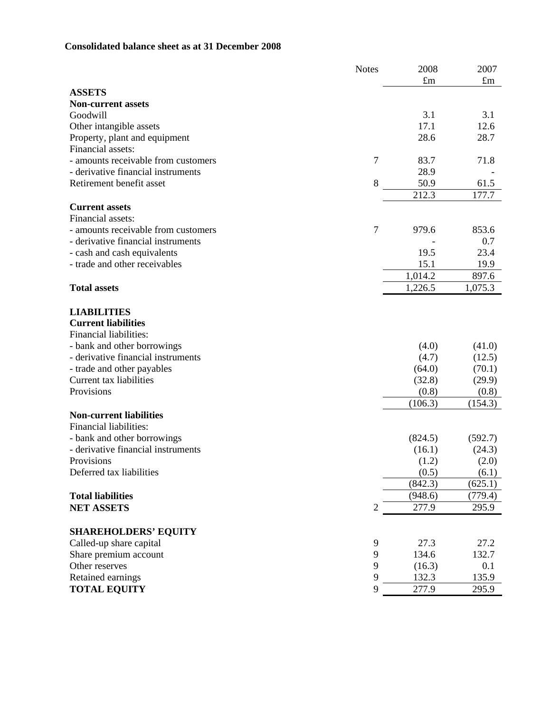## **Consolidated balance sheet as at 31 December 2008**

|                                     | <b>Notes</b> | 2008        | 2007        |
|-------------------------------------|--------------|-------------|-------------|
|                                     |              | $\pounds$ m | $\pounds$ m |
| <b>ASSETS</b>                       |              |             |             |
| <b>Non-current assets</b>           |              |             |             |
| Goodwill                            |              | 3.1         | 3.1         |
| Other intangible assets             |              | 17.1        | 12.6        |
| Property, plant and equipment       |              | 28.6        | 28.7        |
| Financial assets:                   |              |             |             |
| - amounts receivable from customers | 7            | 83.7        | 71.8        |
| - derivative financial instruments  |              | 28.9        |             |
| Retirement benefit asset            | 8            | 50.9        | 61.5        |
|                                     |              | 212.3       | 177.7       |
| <b>Current assets</b>               |              |             |             |
| Financial assets:                   |              |             |             |
| - amounts receivable from customers | 7            | 979.6       | 853.6       |
| - derivative financial instruments  |              |             | 0.7         |
| - cash and cash equivalents         |              | 19.5        | 23.4        |
| - trade and other receivables       |              | 15.1        | 19.9        |
|                                     |              | 1,014.2     | 897.6       |
| <b>Total assets</b>                 |              | 1,226.5     | 1,075.3     |
|                                     |              |             |             |
| <b>LIABILITIES</b>                  |              |             |             |
| <b>Current liabilities</b>          |              |             |             |
| Financial liabilities:              |              |             |             |
| - bank and other borrowings         |              | (4.0)       | (41.0)      |
| - derivative financial instruments  |              | (4.7)       | (12.5)      |
| - trade and other payables          |              | (64.0)      | (70.1)      |
| Current tax liabilities             |              | (32.8)      | (29.9)      |
| Provisions                          |              | (0.8)       | (0.8)       |
|                                     |              | (106.3)     | (154.3)     |
| <b>Non-current liabilities</b>      |              |             |             |
| Financial liabilities:              |              |             |             |
| - bank and other borrowings         |              | (824.5)     | (592.7)     |
| - derivative financial instruments  |              | (16.1)      | (24.3)      |
| Provisions                          |              | (1.2)       | (2.0)       |
| Deferred tax liabilities            |              | (0.5)       | (6.1)       |
|                                     |              | (842.3)     | (625.1)     |
| <b>Total liabilities</b>            |              | (948.6)     | (779.4)     |
| <b>NET ASSETS</b>                   | 2            | 277.9       | 295.9       |
|                                     |              |             |             |
| <b>SHAREHOLDERS' EQUITY</b>         |              |             |             |
| Called-up share capital             | 9            | 27.3        | 27.2        |
| Share premium account               | $\mathbf{9}$ | 134.6       | 132.7       |
| Other reserves                      | 9            | (16.3)      | 0.1         |
| Retained earnings                   | 9            | 132.3       | 135.9       |
| <b>TOTAL EQUITY</b>                 | 9            | 277.9       | 295.9       |
|                                     |              |             |             |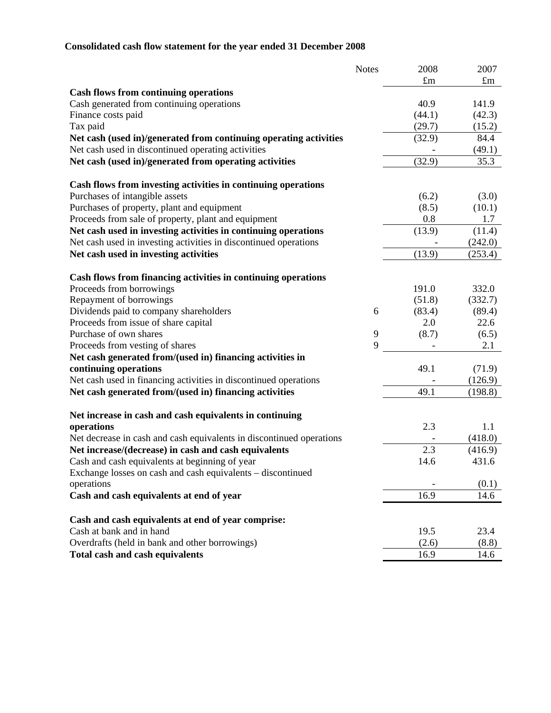# **Consolidated cash flow statement for the year ended 31 December 2008**

|                                                                      | <b>Notes</b> | 2008   | 2007        |
|----------------------------------------------------------------------|--------------|--------|-------------|
|                                                                      |              | £m     | $\pounds$ m |
| <b>Cash flows from continuing operations</b>                         |              |        |             |
| Cash generated from continuing operations                            |              | 40.9   | 141.9       |
| Finance costs paid                                                   |              | (44.1) | (42.3)      |
| Tax paid                                                             |              | (29.7) | (15.2)      |
| Net cash (used in)/generated from continuing operating activities    |              | (32.9) | 84.4        |
| Net cash used in discontinued operating activities                   |              |        | (49.1)      |
| Net cash (used in)/generated from operating activities               |              | (32.9) | 35.3        |
| Cash flows from investing activities in continuing operations        |              |        |             |
| Purchases of intangible assets                                       |              | (6.2)  | (3.0)       |
| Purchases of property, plant and equipment                           |              | (8.5)  | (10.1)      |
| Proceeds from sale of property, plant and equipment                  |              | 0.8    | 1.7         |
| Net cash used in investing activities in continuing operations       |              | (13.9) | (11.4)      |
| Net cash used in investing activities in discontinued operations     |              |        | (242.0)     |
| Net cash used in investing activities                                |              | (13.9) | (253.4)     |
|                                                                      |              |        |             |
| Cash flows from financing activities in continuing operations        |              |        |             |
| Proceeds from borrowings                                             |              | 191.0  | 332.0       |
| Repayment of borrowings                                              |              | (51.8) | (332.7)     |
| Dividends paid to company shareholders                               | 6            | (83.4) | (89.4)      |
| Proceeds from issue of share capital                                 |              | 2.0    | 22.6        |
| Purchase of own shares                                               | 9<br>9       | (8.7)  | (6.5)       |
| Proceeds from vesting of shares                                      |              |        | 2.1         |
| Net cash generated from/(used in) financing activities in            |              |        |             |
| continuing operations                                                |              | 49.1   | (71.9)      |
| Net cash used in financing activities in discontinued operations     |              |        | (126.9)     |
| Net cash generated from/(used in) financing activities               |              | 49.1   | (198.8)     |
| Net increase in cash and cash equivalents in continuing              |              |        |             |
| operations                                                           |              | 2.3    | 1.1         |
| Net decrease in cash and cash equivalents in discontinued operations |              |        | (418.0)     |
| Net increase/(decrease) in cash and cash equivalents                 |              | 2.3    | (416.9)     |
| Cash and cash equivalents at beginning of year                       |              | 14.6   | 431.6       |
| Exchange losses on cash and cash equivalents – discontinued          |              |        |             |
| operations                                                           |              |        | (0.1)       |
| Cash and cash equivalents at end of year                             |              | 16.9   | 14.6        |
| Cash and cash equivalents at end of year comprise:                   |              |        |             |
| Cash at bank and in hand                                             |              | 19.5   | 23.4        |
| Overdrafts (held in bank and other borrowings)                       |              | (2.6)  | (8.8)       |
| <b>Total cash and cash equivalents</b>                               |              | 16.9   | 14.6        |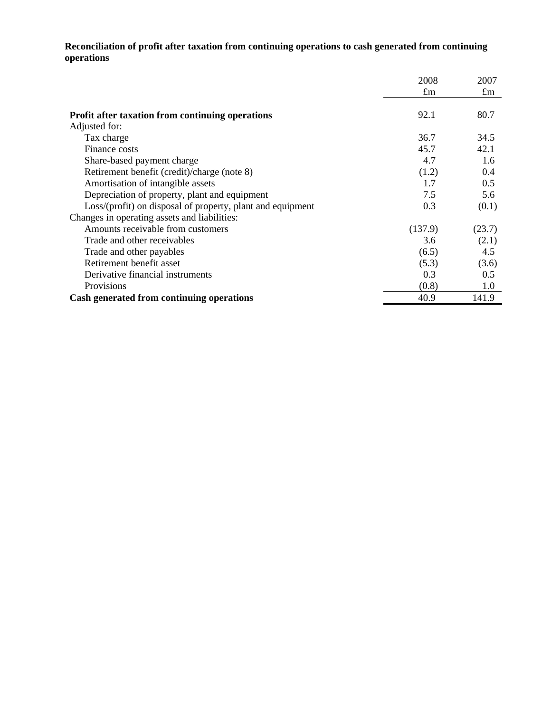**Reconciliation of profit after taxation from continuing operations to cash generated from continuing operations** 

|                                                            | 2008    | 2007        |
|------------------------------------------------------------|---------|-------------|
|                                                            | £m      | $\pounds$ m |
| <b>Profit after taxation from continuing operations</b>    | 92.1    | 80.7        |
| Adjusted for:                                              |         |             |
| Tax charge                                                 | 36.7    | 34.5        |
| Finance costs                                              | 45.7    | 42.1        |
| Share-based payment charge                                 | 4.7     | 1.6         |
| Retirement benefit (credit)/charge (note 8)                | (1.2)   | 0.4         |
| Amortisation of intangible assets                          | 1.7     | 0.5         |
| Depreciation of property, plant and equipment              | 7.5     | 5.6         |
| Loss/(profit) on disposal of property, plant and equipment | 0.3     | (0.1)       |
| Changes in operating assets and liabilities:               |         |             |
| Amounts receivable from customers                          | (137.9) | (23.7)      |
| Trade and other receivables                                | 3.6     | (2.1)       |
| Trade and other payables                                   | (6.5)   | 4.5         |
| Retirement benefit asset                                   | (5.3)   | (3.6)       |
| Derivative financial instruments                           | 0.3     | 0.5         |
| Provisions                                                 | (0.8)   | 1.0         |
| Cash generated from continuing operations                  | 40.9    | 141.9       |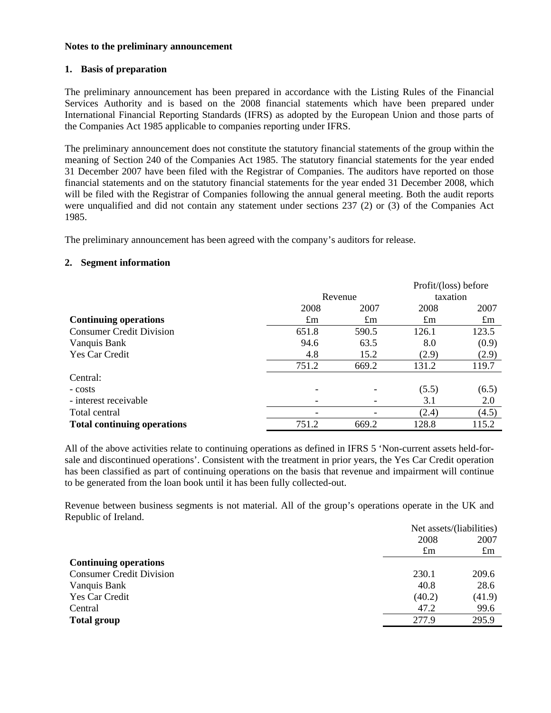### **Notes to the preliminary announcement**

### **1. Basis of preparation**

The preliminary announcement has been prepared in accordance with the Listing Rules of the Financial Services Authority and is based on the 2008 financial statements which have been prepared under International Financial Reporting Standards (IFRS) as adopted by the European Union and those parts of the Companies Act 1985 applicable to companies reporting under IFRS.

The preliminary announcement does not constitute the statutory financial statements of the group within the meaning of Section 240 of the Companies Act 1985. The statutory financial statements for the year ended 31 December 2007 have been filed with the Registrar of Companies. The auditors have reported on those financial statements and on the statutory financial statements for the year ended 31 December 2008, which will be filed with the Registrar of Companies following the annual general meeting. Both the audit reports were unqualified and did not contain any statement under sections 237 (2) or (3) of the Companies Act 1985.

The preliminary announcement has been agreed with the company's auditors for release.

### **2. Segment information**

|                                    |             |             | Profit/(loss) before |             |
|------------------------------------|-------------|-------------|----------------------|-------------|
|                                    | Revenue     |             | taxation             |             |
|                                    | 2008        | 2007        | 2008                 | 2007        |
| <b>Continuing operations</b>       | $\pounds$ m | $\pounds$ m | $\pounds$ m          | $\pounds$ m |
| <b>Consumer Credit Division</b>    | 651.8       | 590.5       | 126.1                | 123.5       |
| Vanquis Bank                       | 94.6        | 63.5        | 8.0                  | (0.9)       |
| Yes Car Credit                     | 4.8         | 15.2        | (2.9)                | (2.9)       |
|                                    | 751.2       | 669.2       | 131.2                | 119.7       |
| Central:                           |             |             |                      |             |
| - costs                            |             |             | (5.5)                | (6.5)       |
| - interest receivable              |             |             | 3.1                  | 2.0         |
| Total central                      |             |             | (2.4)                | (4.5)       |
| <b>Total continuing operations</b> | 751.2       | 669.2       | 128.8                | 115.2       |

All of the above activities relate to continuing operations as defined in IFRS 5 'Non-current assets held-forsale and discontinued operations'. Consistent with the treatment in prior years, the Yes Car Credit operation has been classified as part of continuing operations on the basis that revenue and impairment will continue to be generated from the loan book until it has been fully collected-out.

Revenue between business segments is not material. All of the group's operations operate in the UK and Republic of Ireland.

|                                 |             | Net assets/(liabilities) |  |
|---------------------------------|-------------|--------------------------|--|
|                                 | 2008        | 2007                     |  |
|                                 | $\pounds$ m | $\pounds$ m              |  |
| <b>Continuing operations</b>    |             |                          |  |
| <b>Consumer Credit Division</b> | 230.1       | 209.6                    |  |
| Vanquis Bank                    | 40.8        | 28.6                     |  |
| Yes Car Credit                  | (40.2)      | (41.9)                   |  |
| Central                         | 47.2        | 99.6                     |  |
| <b>Total group</b>              | 277.9       | 295.9                    |  |
|                                 |             |                          |  |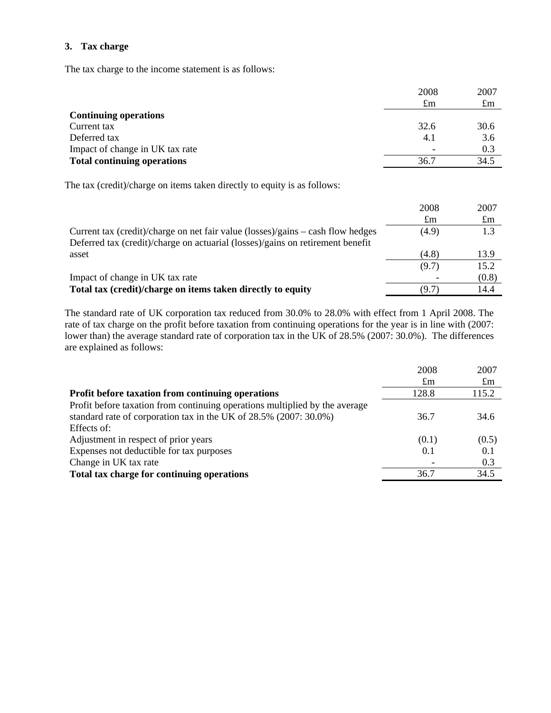### **3. Tax charge**

The tax charge to the income statement is as follows:

|                                    | 2008        | 2007 |
|------------------------------------|-------------|------|
|                                    | $\pounds$ m | £m   |
| <b>Continuing operations</b>       |             |      |
| Current tax                        | 32.6        | 30.6 |
| Deferred tax                       | 4.1         | 3.6  |
| Impact of change in UK tax rate    |             | 0.3  |
| <b>Total continuing operations</b> | 36.7        | 34.5 |

The tax (credit)/charge on items taken directly to equity is as follows:

|                                                                                                                                                                   | 2008        | 2007        |
|-------------------------------------------------------------------------------------------------------------------------------------------------------------------|-------------|-------------|
|                                                                                                                                                                   | $\pounds$ m | $\pounds$ m |
| Current tax (credit)/charge on net fair value (losses)/gains – cash flow hedges<br>Deferred tax (credit)/charge on actuarial (losses)/gains on retirement benefit | (4.9)       | 1.3         |
| asset                                                                                                                                                             | (4.8)       | 13.9        |
|                                                                                                                                                                   | (9.7)       | 15.2        |
| Impact of change in UK tax rate                                                                                                                                   |             | (0.8)       |
| Total tax (credit)/charge on items taken directly to equity                                                                                                       | (9.7)       | 14.4        |

The standard rate of UK corporation tax reduced from 30.0% to 28.0% with effect from 1 April 2008. The rate of tax charge on the profit before taxation from continuing operations for the year is in line with (2007: lower than) the average standard rate of corporation tax in the UK of 28.5% (2007: 30.0%). The differences are explained as follows:

|                                                                             | 2008        | 2007        |
|-----------------------------------------------------------------------------|-------------|-------------|
|                                                                             | $\pounds$ m | $\pounds$ m |
| Profit before taxation from continuing operations                           | 128.8       | 115.2       |
| Profit before taxation from continuing operations multiplied by the average |             |             |
| standard rate of corporation tax in the UK of 28.5% (2007: 30.0%)           | 36.7        | 34.6        |
| Effects of:                                                                 |             |             |
| Adjustment in respect of prior years                                        | (0.1)       | (0.5)       |
| Expenses not deductible for tax purposes                                    | 0.1         | 0.1         |
| Change in UK tax rate                                                       |             | 0.3         |
| Total tax charge for continuing operations                                  | 36.7        | 34.5        |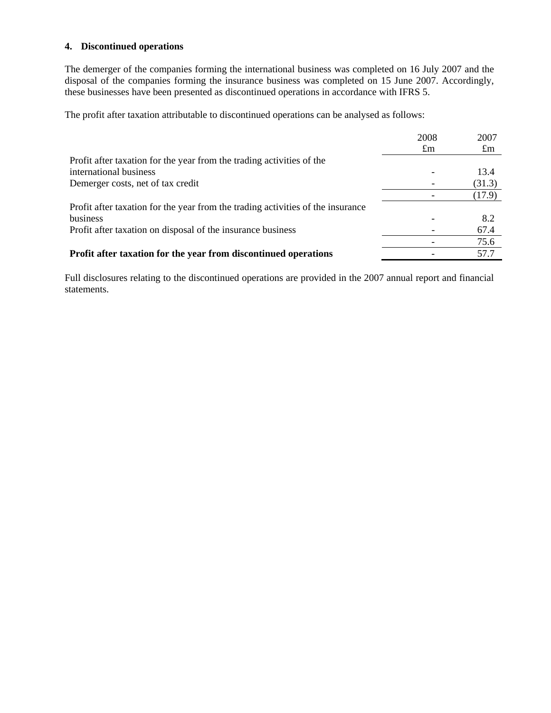### **4. Discontinued operations**

The demerger of the companies forming the international business was completed on 16 July 2007 and the disposal of the companies forming the insurance business was completed on 15 June 2007. Accordingly, these businesses have been presented as discontinued operations in accordance with IFRS 5.

The profit after taxation attributable to discontinued operations can be analysed as follows:

|                                                                                 | 2008        | 2007        |
|---------------------------------------------------------------------------------|-------------|-------------|
|                                                                                 | $\pounds$ m | $\pounds$ m |
| Profit after taxation for the year from the trading activities of the           |             |             |
| international business                                                          |             | 13.4        |
| Demerger costs, net of tax credit                                               |             | (31.3)      |
|                                                                                 |             | (17.9)      |
| Profit after taxation for the year from the trading activities of the insurance |             |             |
| business                                                                        |             | 8.2         |
| Profit after taxation on disposal of the insurance business                     |             | 67.4        |
|                                                                                 |             | 75.6        |
| Profit after taxation for the year from discontinued operations                 |             | 57.7        |

Full disclosures relating to the discontinued operations are provided in the 2007 annual report and financial statements.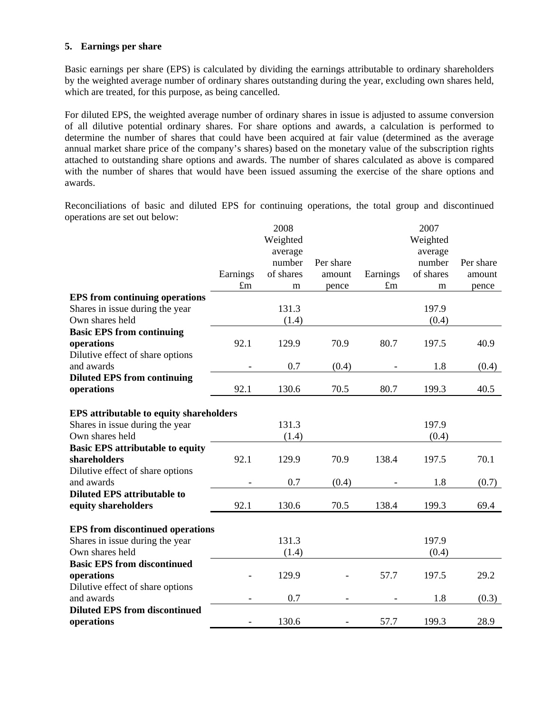### **5. Earnings per share**

Basic earnings per share (EPS) is calculated by dividing the earnings attributable to ordinary shareholders by the weighted average number of ordinary shares outstanding during the year, excluding own shares held, which are treated, for this purpose, as being cancelled.

For diluted EPS, the weighted average number of ordinary shares in issue is adjusted to assume conversion of all dilutive potential ordinary shares. For share options and awards, a calculation is performed to determine the number of shares that could have been acquired at fair value (determined as the average annual market share price of the company's shares) based on the monetary value of the subscription rights attached to outstanding share options and awards. The number of shares calculated as above is compared with the number of shares that would have been issued assuming the exercise of the share options and awards.

Reconciliations of basic and diluted EPS for continuing operations, the total group and discontinued operations are set out below:

|                                                |                          | 2008      |           |             | 2007      |           |
|------------------------------------------------|--------------------------|-----------|-----------|-------------|-----------|-----------|
|                                                |                          | Weighted  |           |             | Weighted  |           |
|                                                |                          | average   |           |             | average   |           |
|                                                |                          | number    | Per share |             | number    | Per share |
|                                                | Earnings                 | of shares | amount    | Earnings    | of shares | amount    |
|                                                | $\pounds$ m              | m         | pence     | $\pounds$ m | m         | pence     |
| <b>EPS</b> from continuing operations          |                          |           |           |             |           |           |
| Shares in issue during the year                |                          | 131.3     |           |             | 197.9     |           |
| Own shares held                                |                          | (1.4)     |           |             | (0.4)     |           |
| <b>Basic EPS from continuing</b>               |                          |           |           |             |           |           |
| operations                                     | 92.1                     | 129.9     | 70.9      | 80.7        | 197.5     | 40.9      |
| Dilutive effect of share options               |                          |           |           |             |           |           |
| and awards                                     |                          | 0.7       | (0.4)     |             | 1.8       | (0.4)     |
| <b>Diluted EPS from continuing</b>             |                          |           |           |             |           |           |
| operations                                     | 92.1                     | 130.6     | 70.5      | 80.7        | 199.3     | 40.5      |
|                                                |                          |           |           |             |           |           |
| <b>EPS</b> attributable to equity shareholders |                          |           |           |             |           |           |
| Shares in issue during the year                |                          | 131.3     |           |             | 197.9     |           |
| Own shares held                                |                          | (1.4)     |           |             | (0.4)     |           |
| <b>Basic EPS attributable to equity</b>        |                          |           |           |             |           |           |
| shareholders                                   | 92.1                     | 129.9     | 70.9      | 138.4       | 197.5     | 70.1      |
| Dilutive effect of share options               |                          |           |           |             |           |           |
| and awards                                     |                          | 0.7       | (0.4)     |             | 1.8       | (0.7)     |
| <b>Diluted EPS attributable to</b>             |                          |           |           |             |           |           |
| equity shareholders                            | 92.1                     | 130.6     | 70.5      | 138.4       | 199.3     | 69.4      |
|                                                |                          |           |           |             |           |           |
| <b>EPS</b> from discontinued operations        |                          |           |           |             |           |           |
| Shares in issue during the year                |                          | 131.3     |           |             | 197.9     |           |
| Own shares held                                |                          | (1.4)     |           |             | (0.4)     |           |
| <b>Basic EPS from discontinued</b>             |                          |           |           |             |           |           |
| operations                                     |                          | 129.9     |           | 57.7        | 197.5     | 29.2      |
| Dilutive effect of share options               |                          |           |           |             |           |           |
| and awards                                     |                          | 0.7       |           |             | 1.8       | (0.3)     |
| <b>Diluted EPS from discontinued</b>           |                          |           |           |             |           |           |
| operations                                     | $\overline{\phantom{0}}$ | 130.6     |           | 57.7        | 199.3     | 28.9      |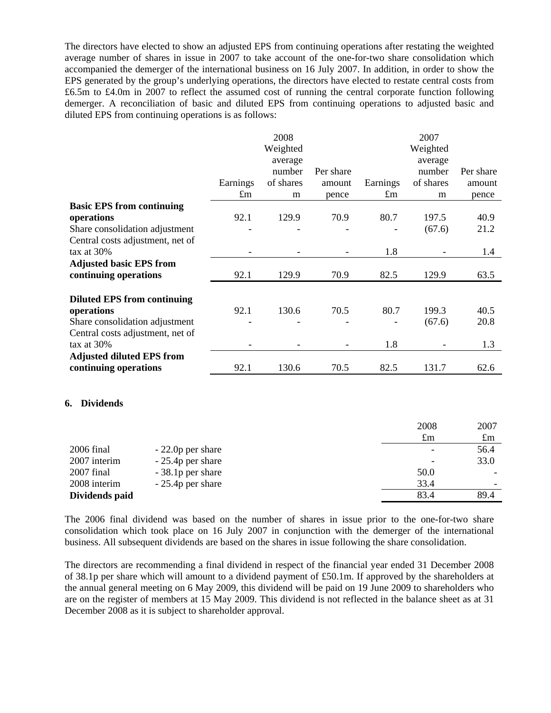The directors have elected to show an adjusted EPS from continuing operations after restating the weighted average number of shares in issue in 2007 to take account of the one-for-two share consolidation which accompanied the demerger of the international business on 16 July 2007. In addition, in order to show the EPS generated by the group's underlying operations, the directors have elected to restate central costs from £6.5m to £4.0m in 2007 to reflect the assumed cost of running the central corporate function following demerger. A reconciliation of basic and diluted EPS from continuing operations to adjusted basic and diluted EPS from continuing operations is as follows:

|                                    |             | 2008      |           |             | 2007        |             |
|------------------------------------|-------------|-----------|-----------|-------------|-------------|-------------|
|                                    |             | Weighted  |           |             | Weighted    |             |
|                                    |             | average   |           |             | average     |             |
|                                    |             | number    | Per share |             | number      | Per share   |
|                                    | Earnings    | of shares | amount    | Earnings    | of shares   | amount      |
|                                    | $\pounds$ m | m         | pence     | $\pounds$ m | m           | pence       |
| <b>Basic EPS from continuing</b>   |             |           |           |             |             |             |
| operations                         | 92.1        | 129.9     | 70.9      | 80.7        | 197.5       | 40.9        |
| Share consolidation adjustment     |             |           |           |             | (67.6)      | 21.2        |
| Central costs adjustment, net of   |             |           |           |             |             |             |
| tax at $30\%$                      |             |           |           | 1.8         |             | 1.4         |
| <b>Adjusted basic EPS from</b>     |             |           |           |             |             |             |
| continuing operations              | 92.1        | 129.9     | 70.9      | 82.5        | 129.9       | 63.5        |
|                                    |             |           |           |             |             |             |
| <b>Diluted EPS from continuing</b> |             |           |           |             |             |             |
| operations                         | 92.1        | 130.6     | 70.5      | 80.7        | 199.3       | 40.5        |
| Share consolidation adjustment     |             |           |           |             | (67.6)      | 20.8        |
| Central costs adjustment, net of   |             |           |           |             |             |             |
| tax at 30%                         |             |           |           | 1.8         |             | 1.3         |
| <b>Adjusted diluted EPS from</b>   |             |           |           |             |             |             |
| continuing operations              | 92.1        | 130.6     | 70.5      | 82.5        | 131.7       | 62.6        |
|                                    |             |           |           |             |             |             |
|                                    |             |           |           |             |             |             |
| <b>Dividends</b><br>6.             |             |           |           |             |             |             |
|                                    |             |           |           |             |             |             |
|                                    |             |           |           |             | 2008        | 2007        |
|                                    |             |           |           |             | $\pounds$ m | $\pounds$ m |
| $2006$ final<br>- 22 On per share  |             |           |           |             |             | 56 A        |

| 2006 final     | $-22.0p$ per share |      | 56.4                     |
|----------------|--------------------|------|--------------------------|
| 2007 interim   | $-25.4p$ per share | -    | 33.0                     |
| $2007$ final   | - 38.1 p per share | 50.0 |                          |
| 2008 interim   | $-25.4p$ per share | 33.4 | $\overline{\phantom{0}}$ |
| Dividends paid |                    | 83.4 | 89.4                     |
|                |                    |      |                          |

The 2006 final dividend was based on the number of shares in issue prior to the one-for-two share consolidation which took place on 16 July 2007 in conjunction with the demerger of the international business. All subsequent dividends are based on the shares in issue following the share consolidation.

The directors are recommending a final dividend in respect of the financial year ended 31 December 2008 of 38.1p per share which will amount to a dividend payment of £50.1m. If approved by the shareholders at the annual general meeting on 6 May 2009, this dividend will be paid on 19 June 2009 to shareholders who are on the register of members at 15 May 2009. This dividend is not reflected in the balance sheet as at 31 December 2008 as it is subject to shareholder approval.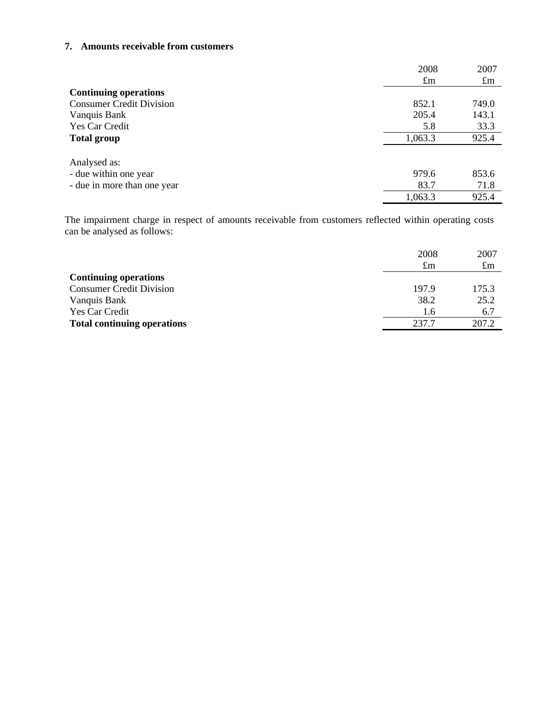### **7. Amounts receivable from customers**

|                                 | 2008        | 2007        |
|---------------------------------|-------------|-------------|
|                                 | $\pounds$ m | $\pounds$ m |
| <b>Continuing operations</b>    |             |             |
| <b>Consumer Credit Division</b> | 852.1       | 749.0       |
| Vanquis Bank                    | 205.4       | 143.1       |
| Yes Car Credit                  | 5.8         | 33.3        |
| <b>Total group</b>              | 1,063.3     | 925.4       |
|                                 |             |             |
| Analysed as:                    |             |             |
| - due within one year           | 979.6       | 853.6       |
| - due in more than one year     | 83.7        | 71.8        |
|                                 | 1,063.3     | 925.4       |

The impairment charge in respect of amounts receivable from customers reflected within operating costs can be analysed as follows:

|                                    | 2008<br>£m | 2007<br>$\pounds$ m |
|------------------------------------|------------|---------------------|
| <b>Continuing operations</b>       |            |                     |
| <b>Consumer Credit Division</b>    | 197.9      | 175.3               |
| Vanquis Bank                       | 38.2       | 25.2                |
| Yes Car Credit                     | 1.6        | 6.7                 |
| <b>Total continuing operations</b> | 237.7      | 207.2               |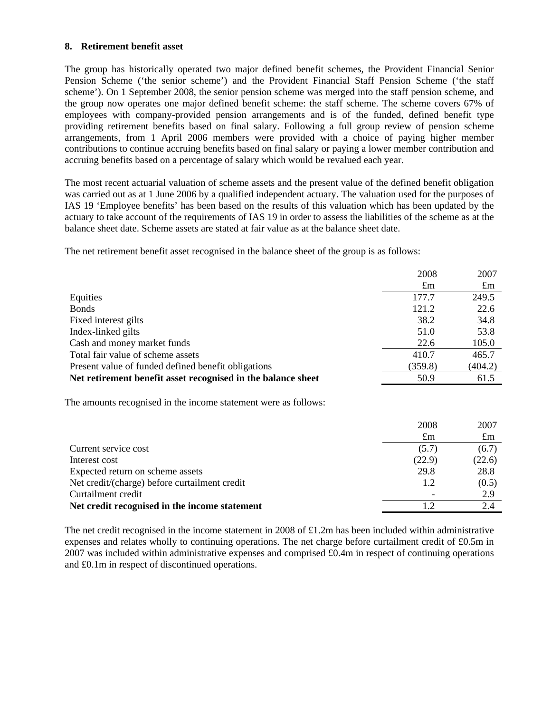### **8. Retirement benefit asset**

 the group now operates one major defined benefit scheme: the staff scheme. The scheme covers 67% of The group has historically operated two major defined benefit schemes, the Provident Financial Senior Pension Scheme ('the senior scheme') and the Provident Financial Staff Pension Scheme ('the staff scheme'). On 1 September 2008, the senior pension scheme was merged into the staff pension scheme, and employees with company-provided pension arrangements and is of the funded, defined benefit type providing retirement benefits based on final salary. Following a full group review of pension scheme arrangements, from 1 April 2006 members were provided with a choice of paying higher member contributions to continue accruing benefits based on final salary or paying a lower member contribution and accruing benefits based on a percentage of salary which would be revalued each year.

The most recent actuarial valuation of scheme assets and the present value of the defined benefit obligation was carried out as at 1 June 2006 by a qualified independent actuary. The valuation used for the purposes of IAS 19 'Employee benefits' has been based on the results of this valuation which has been updated by the actuary to take account of the requirements of IAS 19 in order to assess the liabilities of the scheme as at the balance sheet date. Scheme assets are stated at fair value as at the balance sheet date.

The net retirement benefit asset recognised in the balance sheet of the group is as follows:

|                                                                 | 2008        | 2007        |
|-----------------------------------------------------------------|-------------|-------------|
|                                                                 | $\pounds$ m | $\pounds$ m |
| Equities                                                        | 177.7       | 249.5       |
| <b>Bonds</b>                                                    | 121.2       | 22.6        |
| Fixed interest gilts                                            | 38.2        | 34.8        |
| Index-linked gilts                                              | 51.0        | 53.8        |
| Cash and money market funds                                     | 22.6        | 105.0       |
| Total fair value of scheme assets                               | 410.7       | 465.7       |
| Present value of funded defined benefit obligations             | (359.8)     | (404.2)     |
| Net retirement benefit asset recognised in the balance sheet    | 50.9        | 61.5        |
|                                                                 |             |             |
| The amounts recognised in the income statement were as follows: |             |             |
|                                                                 |             |             |

|                                               |             | ---         |
|-----------------------------------------------|-------------|-------------|
|                                               | $\pounds$ m | $\pounds$ m |
| Current service cost                          | (5.7)       | (6.7)       |
| Interest cost                                 | (22.9)      | (22.6)      |
| Expected return on scheme assets              | 29.8        | 28.8        |
| Net credit/(charge) before curtailment credit | 1.2         | (0.5)       |
| Curtailment credit                            |             | 2.9         |
| Net credit recognised in the income statement |             |             |

2008 2007

The net credit recognised in the income statement in 2008 of £1.2m has been included within administrative expenses and relates wholly to continuing operations. The net charge before curtailment credit of £0.5m in 2007 was included within administrative expenses and comprised £0.4m in respect of continuing operations and £0.1m in respect of discontinued operations.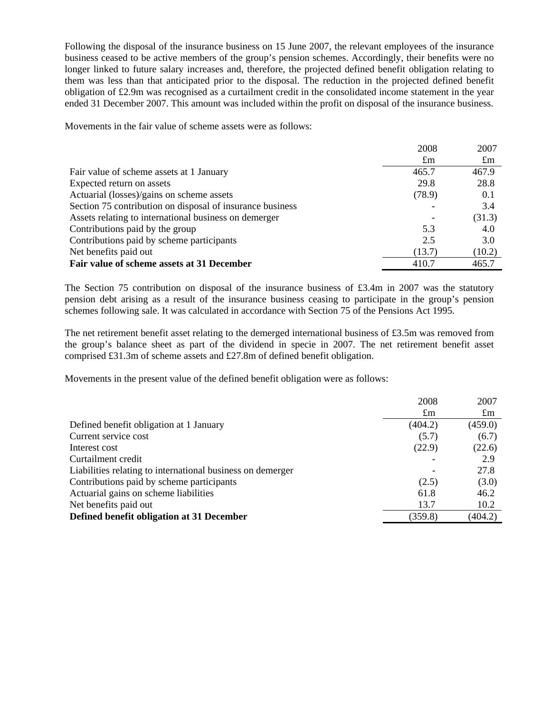Following the disposal of the insurance business on 15 June 2007, the relevant employees of the insurance business ceased to be active members of the group's pension schemes. Accordingly, their benefits were no longer linked to future salary increases and, therefore, the projected defined benefit obligation relating to them was less than that anticipated prior to the disposal. The reduction in the projected defined benefit obligation of £2.9m was recognised as a curtailment credit in the consolidated income statement in the year ended 31 December 2007. This amount was included within the profit on disposal of the insurance business.

Movements in the fair value of scheme assets were as follows:

|                                                           | 2008        | 2007        |
|-----------------------------------------------------------|-------------|-------------|
|                                                           | $\pounds$ m | $\pounds$ m |
| Fair value of scheme assets at 1 January                  | 465.7       | 467.9       |
| Expected return on assets                                 | 29.8        | 28.8        |
| Actuarial (losses)/gains on scheme assets                 | (78.9)      | 0.1         |
| Section 75 contribution on disposal of insurance business |             | 3.4         |
| Assets relating to international business on demerger     |             | (31.3)      |
| Contributions paid by the group                           | 5.3         | 4.0         |
| Contributions paid by scheme participants                 | 2.5         | 3.0         |
| Net benefits paid out                                     | (13.7)      | (10.2)      |
| Fair value of scheme assets at 31 December                | 410.7       | 465.7       |

The Section 75 contribution on disposal of the insurance business of £3.4m in 2007 was the statutory pension debt arising as a result of the insurance business ceasing to participate in the group's pension schemes following sale. It was calculated in accordance with Section 75 of the Pensions Act 1995.

The net retirement benefit asset relating to the demerged international business of £3.5m was removed from the group's balance sheet as part of the dividend in specie in 2007. The net retirement benefit asset comprised £31.3m of scheme assets and £27.8m of defined benefit obligation.

Movements in the present value of the defined benefit obligation were as follows:

|                                                            | 2008        | 2007        |
|------------------------------------------------------------|-------------|-------------|
|                                                            | $\pounds$ m | $\pounds$ m |
| Defined benefit obligation at 1 January                    | (404.2)     | (459.0)     |
| Current service cost                                       | (5.7)       | (6.7)       |
| Interest cost                                              | (22.9)      | (22.6)      |
| Curtailment credit                                         |             | 2.9         |
| Liabilities relating to international business on demerger |             | 27.8        |
| Contributions paid by scheme participants                  | (2.5)       | (3.0)       |
| Actuarial gains on scheme liabilities                      | 61.8        | 46.2        |
| Net benefits paid out                                      | 13.7        | 10.2        |
| Defined benefit obligation at 31 December                  | (359.8)     | (404.2)     |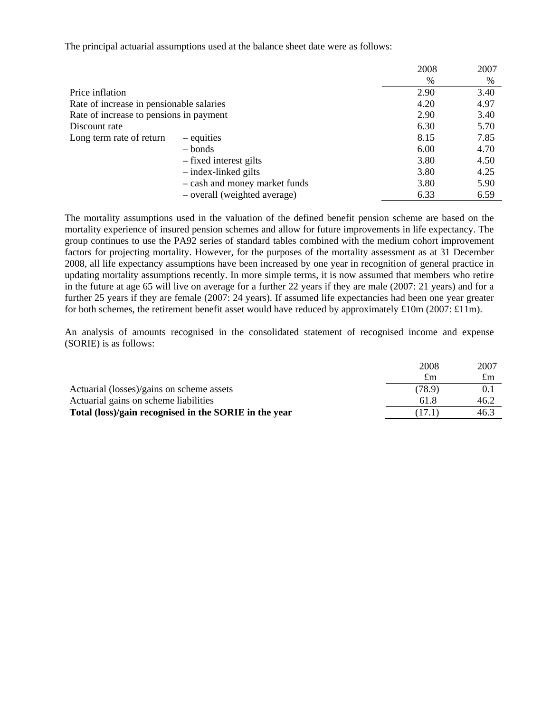The principal actuarial assumptions used at the balance sheet date were as follows:

|                                          |                               | 2008 | 2007 |
|------------------------------------------|-------------------------------|------|------|
|                                          |                               | $\%$ | %    |
| Price inflation                          |                               | 2.90 | 3.40 |
| Rate of increase in pensionable salaries |                               | 4.20 | 4.97 |
| Rate of increase to pensions in payment  |                               | 2.90 | 3.40 |
| Discount rate                            |                               | 6.30 | 5.70 |
| Long term rate of return                 | – equities                    | 8.15 | 7.85 |
|                                          | $-$ bonds                     | 6.00 | 4.70 |
|                                          | - fixed interest gilts        | 3.80 | 4.50 |
|                                          | $-$ index-linked gilts        | 3.80 | 4.25 |
|                                          | - cash and money market funds | 3.80 | 5.90 |
|                                          | - overall (weighted average)  | 6.33 | 6.59 |

The mortality assumptions used in the valuation of the defined benefit pension scheme are based on the mortality experience of insured pension schemes and allow for future improvements in life expectancy. The group continues to use the PA92 series of standard tables combined with the medium cohort improvement factors for projecting mortality. However, for the purposes of the mortality assessment as at 31 December 2008, all life expectancy assumptions have been increased by one year in recognition of general practice in updating mortality assumptions recently. In more simple terms, it is now assumed that members who retire in the future at age 65 will live on average for a further 22 years if they are male (2007: 21 years) and for a further 25 years if they are female (2007: 24 years). If assumed life expectancies had been one year greater for both schemes, the retirement benefit asset would have reduced by approximately £10m (2007: £11m).

An analysis of amounts recognised in the consolidated statement of recognised income and expense (SORIE) is as follows:

| 2008   | 2007        |
|--------|-------------|
| £m     | $\pounds$ m |
| (78.9) | 0.1         |
| 61.8   | 46.2        |
| (17.1) | 46.3        |
|        |             |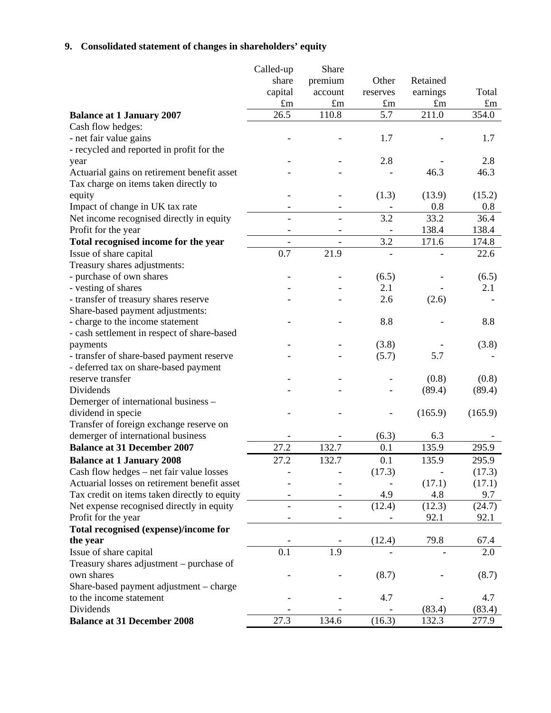# **9. Consolidated statement of changes in shareholders' equity**

|                                                        | Called-up                | Share                    |                          |             |             |
|--------------------------------------------------------|--------------------------|--------------------------|--------------------------|-------------|-------------|
|                                                        | share                    | premium                  | Other                    | Retained    |             |
|                                                        | capital                  | account                  | reserves                 | earnings    | Total       |
|                                                        | $\pounds$ m              | $\pounds$ m              | $\pounds$ m              | $\pounds$ m | $\pounds$ m |
| <b>Balance at 1 January 2007</b>                       | 26.5                     | 110.8                    | 5.7                      | 211.0       | 354.0       |
| Cash flow hedges:                                      |                          |                          |                          |             |             |
| - net fair value gains                                 |                          |                          | 1.7                      |             | 1.7         |
| - recycled and reported in profit for the              |                          |                          |                          |             |             |
| year                                                   |                          |                          | 2.8                      |             | 2.8         |
| Actuarial gains on retirement benefit asset            |                          |                          |                          | 46.3        | 46.3        |
| Tax charge on items taken directly to                  |                          |                          |                          |             |             |
| equity                                                 |                          |                          | (1.3)                    | (13.9)      | (15.2)      |
| Impact of change in UK tax rate                        | $\overline{\phantom{a}}$ | $\qquad \qquad -$        | $\overline{\phantom{a}}$ | 0.8         | 0.8         |
| Net income recognised directly in equity               | $\overline{\phantom{a}}$ | $\overline{\phantom{0}}$ | 3.2                      | 33.2        | 36.4        |
| Profit for the year                                    |                          |                          |                          | 138.4       | 138.4       |
| Total recognised income for the year                   | $\frac{1}{2}$            |                          | 3.2                      | 171.6       | 174.8       |
| Issue of share capital                                 | 0.7                      | 21.9                     |                          |             | 22.6        |
| Treasury shares adjustments:                           |                          |                          |                          |             |             |
| - purchase of own shares                               |                          |                          | (6.5)                    |             | (6.5)       |
| - vesting of shares                                    |                          |                          | 2.1                      |             | 2.1         |
| - transfer of treasury shares reserve                  |                          |                          | 2.6                      | (2.6)       |             |
| Share-based payment adjustments:                       |                          |                          |                          |             |             |
| - charge to the income statement                       |                          |                          | 8.8                      |             | 8.8         |
| - cash settlement in respect of share-based            |                          |                          |                          |             |             |
| payments                                               |                          |                          | (3.8)                    |             | (3.8)       |
| - transfer of share-based payment reserve              |                          |                          | (5.7)                    | 5.7         |             |
| - deferred tax on share-based payment                  |                          |                          |                          |             |             |
| reserve transfer                                       |                          |                          |                          | (0.8)       | (0.8)       |
| Dividends                                              |                          |                          |                          | (89.4)      | (89.4)      |
| Demerger of international business -                   |                          |                          |                          |             |             |
| dividend in specie                                     |                          |                          |                          | (165.9)     | (165.9)     |
| Transfer of foreign exchange reserve on                |                          |                          |                          |             |             |
| demerger of international business                     |                          |                          | (6.3)                    | 6.3         |             |
| <b>Balance at 31 December 2007</b>                     | 27.2                     | 132.7                    | 0.1                      | 135.9       | 295.9       |
| <b>Balance at 1 January 2008</b>                       | 27.2                     | 132.7                    | 0.1                      | 135.9       | 295.9       |
| Cash flow hedges – net fair value losses               |                          |                          | (17.3)                   |             | (17.3)      |
| Actuarial losses on retirement benefit asset           |                          |                          |                          | (17.1)      | (17.1)      |
| Tax credit on items taken directly to equity           |                          |                          | 4.9                      | 4.8         | 9.7         |
| Net expense recognised directly in equity              |                          |                          | (12.4)                   | (12.3)      | (24.7)      |
| Profit for the year                                    |                          |                          |                          | 92.1        | 92.1        |
| Total recognised (expense)/income for                  |                          |                          |                          |             |             |
| the year                                               |                          |                          | (12.4)                   | 79.8        | 67.4        |
| Issue of share capital                                 | 0.1                      | 1.9                      |                          |             | 2.0         |
|                                                        |                          |                          |                          |             |             |
| Treasury shares adjustment - purchase of<br>own shares |                          |                          |                          |             |             |
| Share-based payment adjustment – charge                |                          |                          | (8.7)                    |             | (8.7)       |
| to the income statement                                |                          |                          | 4.7                      |             | 4.7         |
| Dividends                                              |                          |                          |                          | (83.4)      |             |
|                                                        | 27.3                     | 134.6                    |                          |             | (83.4)      |
| <b>Balance at 31 December 2008</b>                     |                          |                          | (16.3)                   | 132.3       | 277.9       |